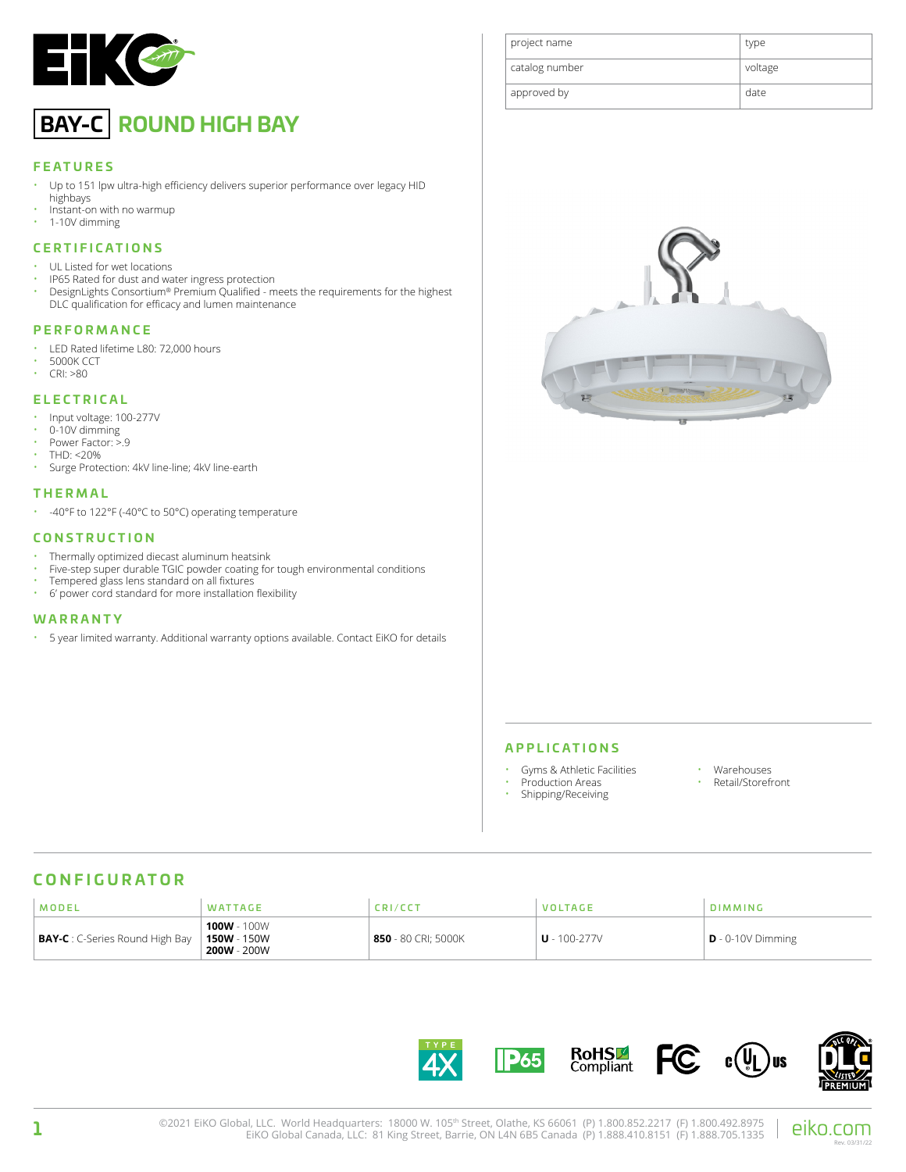

# **BAY-C ROUND HIGH BAY**

#### **FEATURES**

- Up to 151 lpw ultra-high efficiency delivers superior performance over legacy HID highbays
- Instant-on with no warmup
- 1-10V dimming

#### **CERTIFICATIONS**

- UL Listed for wet locations
- IP65 Rated for dust and water ingress protection<br>• DesignLights Consortium® Premium Qualified m
- DesignLights Consortium® Premium Qualified meets the requirements for the highest DLC qualification for efficacy and lumen maintenance

### **PERFORMANCE**

- LED Rated lifetime L80: 72,000 hours
- $\cdot$  5000K CCT
- CRI: >80

### **ELECTRICAL**

- Input voltage: 100-277V
- 0-10V dimming
- Power Factor: >.9
- THD: <20%
- Surge Protection: 4kV line-line; 4kV line-earth

#### **THERMAL**

• -40°F to 122°F (-40°C to 50°C) operating temperature

#### **CONSTRUCTION**

- Thermally optimized diecast aluminum heatsink<br>• Five step super durable TGIC powder conting for
- Five-step super durable TGIC powder coating for tough environmental conditions
- Tempered glass lens standard on all fixtures
- 6' power cord standard for more installation flexibility

### **WARRANTY**

• 5 year limited warranty. Additional warranty options available. Contact EiKO for details





#### **APPLICATIONS**

- Gyms & Athletic Facilities
- Production Areas
- Warehouses
- Retail/Storefront
- Shipping/Receiving

### **CONFIGURATOR**

| MODEL                                  | <b>WATTAGE</b>                                     | <b>CRI/CCT</b>        | <b>VOLTAGE</b>   | <b>DIMMING</b>      |
|----------------------------------------|----------------------------------------------------|-----------------------|------------------|---------------------|
| <b>BAY-C</b> : C-Series Round High Bay | 100W - 100W<br><b>150W</b> - 150W<br>$200W - 200W$ | $850$ - 80 CRI; 5000K | $U - 100 - 277V$ | $D - 0-10V$ Dimming |



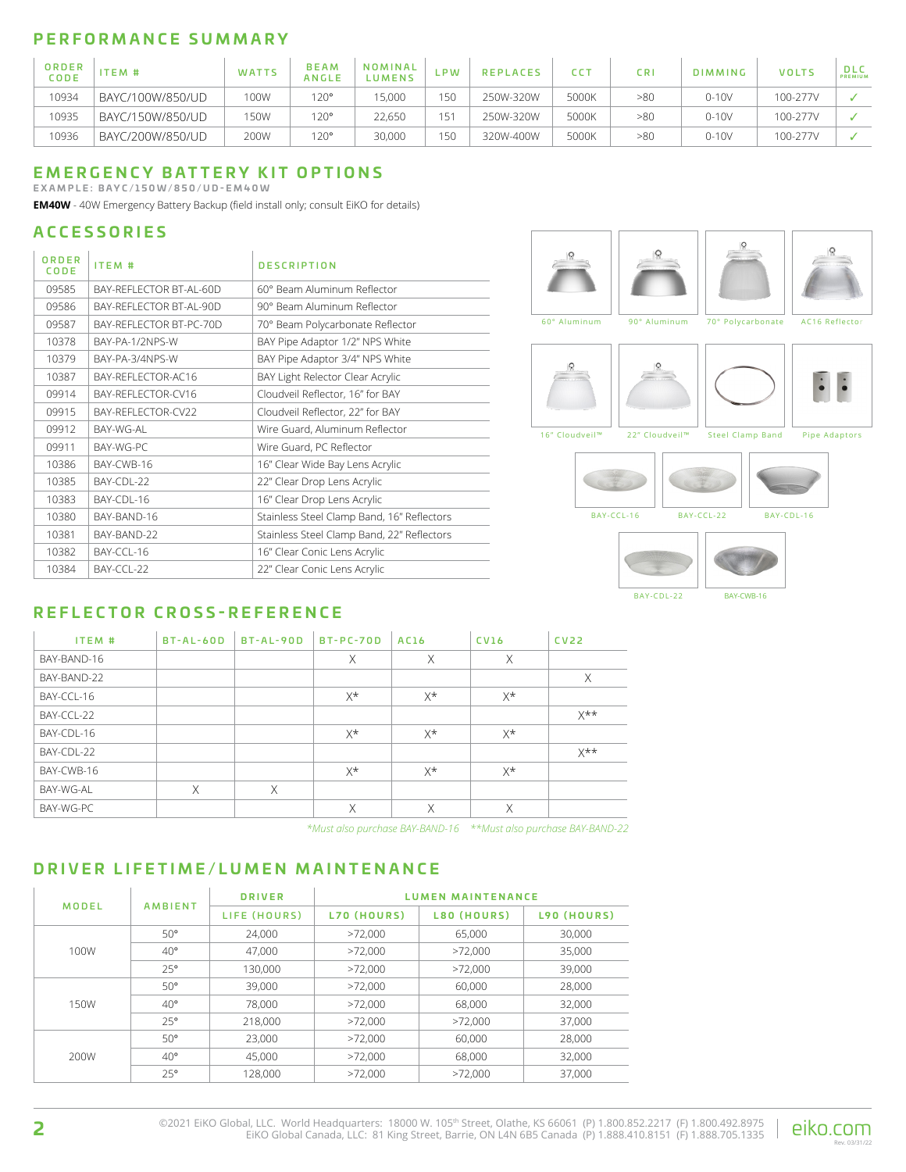# **PERFORMANCE SUMMARY**

| ORDER<br>CODE | ITEM#            | WATTS | <b>BEAM</b><br>ANGLE | NOMINAL<br><b>UMENS</b> | ∟PW | <b>REPLACES</b> |       | C <sub>R</sub> | <b>DIMMING</b> | <b>VOLTS</b> | <b>DLC</b><br>PREMIUM |
|---------------|------------------|-------|----------------------|-------------------------|-----|-----------------|-------|----------------|----------------|--------------|-----------------------|
| 10934         | BAYC/100W/850/UD | 100W  | 120°                 | 5.000                   | 150 | 250W-320W       | 5000K | >80            | $0 - 10V$      | 100-277V     |                       |
| 10935         | BAYC/150W/850/UD | 50W   | 120°                 | 22,650                  | 151 | 250W-320W       | 5000K | >80            | $0-10V$        | 100-277V     |                       |
| 10936         | BAYC/200W/850/UD | 200W  | 120°                 | 30,000                  | 150 | 320W-400W       | 5000K | >80            | $0-10V$        | 100-277V     |                       |

### **EMERGENCY BATTERY KIT OPTIONS**

**EXAMPLE: BAYC/150W/850/UD-EM40W**

**EM40W** - 40W Emergency Battery Backup (field install only; consult EiKO for details)

# **ACCESSORIES**

| ORDER<br>CODE | ITEM #                                     | <b>DESCRIPTION</b>                         |  |  |
|---------------|--------------------------------------------|--------------------------------------------|--|--|
| 09585         | BAY-REFLECTOR BT-AL-60D                    | 60° Beam Aluminum Reflector                |  |  |
| 09586         | BAY-REFLECTOR BT-AL-90D                    | 90° Beam Aluminum Reflector                |  |  |
| 09587         | BAY-REFLECTOR BT-PC-70D                    | 70° Beam Polycarbonate Reflector           |  |  |
| 10378         | BAY-PA-1/2NPS-W                            | BAY Pipe Adaptor 1/2" NPS White            |  |  |
| 10379         | BAY-PA-3/4NPS-W                            | BAY Pipe Adaptor 3/4" NPS White            |  |  |
| 10387         | BAY-REFLECTOR-AC16                         | BAY Light Relector Clear Acrylic           |  |  |
| 09914         | BAY-REFLECTOR-CV16                         | Cloudveil Reflector, 16" for BAY           |  |  |
| 09915         | BAY-REFLECTOR-CV22                         | Cloudveil Reflector, 22" for BAY           |  |  |
| 09912         | BAY-WG-AL                                  | Wire Guard, Aluminum Reflector             |  |  |
| 09911         | BAY-WG-PC                                  | Wire Guard, PC Reflector                   |  |  |
| 10386         | BAY-CWB-16                                 | 16" Clear Wide Bay Lens Acrylic            |  |  |
| 10385         | BAY-CDL-22                                 | 22" Clear Drop Lens Acrylic                |  |  |
| 10383         | BAY-CDL-16                                 | 16" Clear Drop Lens Acrylic                |  |  |
| 10380         | BAY-BAND-16                                | Stainless Steel Clamp Band, 16" Reflectors |  |  |
| 10381         | BAY-BAND-22                                | Stainless Steel Clamp Band, 22" Reflectors |  |  |
| 10382         | BAY-CCL-16                                 | 16" Clear Conic Lens Acrylic               |  |  |
| 10384         | BAY-CCL-22<br>22" Clear Conic Lens Acrylic |                                            |  |  |





# **REFLECTOR CROSS-REFERENCE**

| ITEM #      | $BT-AL-60D$ | BT-AL-90D | <b>BT-PC-70D</b> | AC16        | <b>CV16</b> | CV <sub>22</sub> |
|-------------|-------------|-----------|------------------|-------------|-------------|------------------|
| BAY-BAND-16 |             |           | X                | X           | X           |                  |
| BAY-BAND-22 |             |           |                  |             |             | X                |
| BAY-CCL-16  |             |           | X*               | $X^{\star}$ | X*          |                  |
| BAY-CCL-22  |             |           |                  |             |             | $X^{\star\star}$ |
| BAY-CDL-16  |             |           | X*               | X*          | X*          |                  |
| BAY-CDL-22  |             |           |                  |             |             | $X^{\star\star}$ |
| BAY-CWB-16  |             |           | $X^{\star}$      | X*          | X*          |                  |
| BAY-WG-AL   | X           | X         |                  |             |             |                  |
| BAY-WG-PC   |             |           | X                | X           | X           |                  |

*\*Must also purchase BAY-BAND-16 \*\*Must also purchase BAY-BAND-22*

## **DRIVER LIFETIME/LUMEN MAINTENANCE**

| MODEL | <b>AMBIENT</b> | <b>DRIVER</b> | <b>LUMEN MAINTENANCE</b> |             |             |  |  |
|-------|----------------|---------------|--------------------------|-------------|-------------|--|--|
|       |                | LIFE (HOURS)  | L70 (HOURS)              | L80 (HOURS) | L90 (HOURS) |  |  |
|       | $50^{\circ}$   | 24.000        | >72.000                  | 65,000      | 30,000      |  |  |
| 100W  | $40^{\circ}$   | 47.000        | >72.000                  | >72,000     | 35,000      |  |  |
|       | $25^{\circ}$   | 130.000       | >72.000                  | >72.000     | 39,000      |  |  |
| 150W  | $50^{\circ}$   | 39,000        | >72.000                  | 60.000      | 28,000      |  |  |
|       | $40^{\circ}$   | 78,000        | >72.000                  | 68,000      | 32,000      |  |  |
|       | $25^{\circ}$   | 218,000       | >72.000                  | >72.000     | 37.000      |  |  |
|       | $50^{\circ}$   | 23,000        | >72.000                  | 60,000      | 28,000      |  |  |
| 200W  | $40^{\circ}$   | 45.000        | >72.000                  | 68.000      | 32,000      |  |  |
|       | 25°            | 128.000       | >72.000                  | >72.000     | 37.000      |  |  |